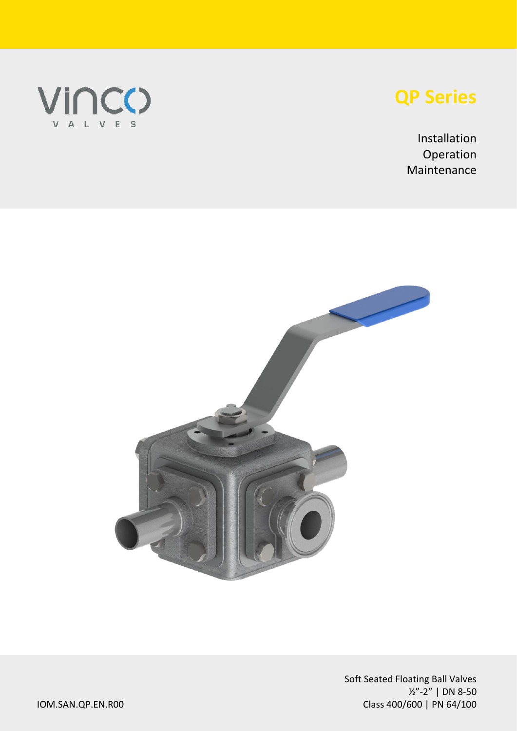

# **QP Series**

Installation Operation Maintenance

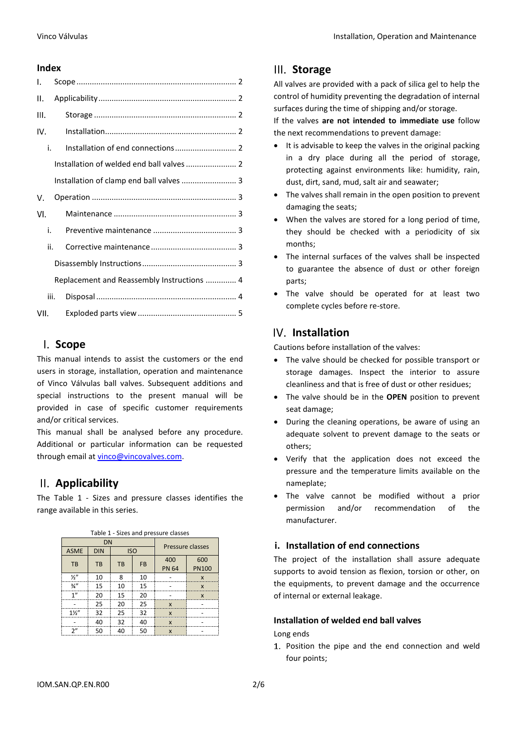#### **Index**

| I.   |                                            |
|------|--------------------------------------------|
| Ⅱ.   |                                            |
| Ш.   |                                            |
| IV.  |                                            |
| i.   |                                            |
|      |                                            |
|      |                                            |
| v.   |                                            |
| VI.  |                                            |
| i.   |                                            |
| ii.  |                                            |
|      |                                            |
|      | Replacement and Reassembly Instructions  4 |
|      | iii.                                       |
| VII. |                                            |

### <span id="page-1-0"></span>**Scope**

This manual intends to assist the customers or the end users in storage, installation, operation and maintenance of Vinco Válvulas ball valves. Subsequent additions and special instructions to the present manual will be provided in case of specific customer requirements and/or critical services.

This manual shall be analysed before any procedure. Additional or particular information can be requested through email a[t vinco@vincovalves.com.](mailto:vinco@vincovalves.com)

### <span id="page-1-1"></span>**Applicability**

The Table 1 - [Sizes and pressure classes](#page-1-6) identifies the range available in this series.

<span id="page-1-6"></span>

| DN             |            |            |           | Pressure classes |                           |
|----------------|------------|------------|-----------|------------------|---------------------------|
| <b>ASME</b>    | <b>DIN</b> | <b>ISO</b> |           |                  |                           |
| <b>TB</b>      | TB         | TB         | <b>FB</b> | 400              | 600                       |
|                |            |            |           | <b>PN 64</b>     | <b>PN100</b>              |
| $\frac{1}{2}$  | 10         | ጸ          | 10        |                  | X                         |
| $\frac{3}{4}$  | 15         | 10         | 15        |                  | $\boldsymbol{\mathsf{x}}$ |
| 1"             | 20         | 15         | 20        |                  | X                         |
|                | 25         | 20         | 25        | $\mathbf{x}$     |                           |
| $1\frac{1}{2}$ | 32         | 25         | 32        | $\mathbf{x}$     |                           |
|                | 40         | 32         | 40        | $\mathsf{x}$     |                           |
| 2"             | 50         | 40         | 50        | X                |                           |

#### Table 1 - Sizes and pressure classes

### <span id="page-1-2"></span>**Storage**

All valves are provided with a pack of silica gel to help the control of humidity preventing the degradation of internal surfaces during the time of shipping and/or storage.

If the valves **are not intended to immediate use** follow the next recommendations to prevent damage:

- It is advisable to keep the valves in the original packing in a dry place during all the period of storage, protecting against environments like: humidity, rain, dust, dirt, sand, mud, salt air and seawater;
- The valves shall remain in the open position to prevent damaging the seats;
- When the valves are stored for a long period of time, they should be checked with a periodicity of six months;
- The internal surfaces of the valves shall be inspected to guarantee the absence of dust or other foreign parts;
- The valve should be operated for at least two complete cycles before re-store.

### <span id="page-1-3"></span>**Installation**

Cautions before installation of the valves:

- The valve should be checked for possible transport or storage damages. Inspect the interior to assure cleanliness and that is free of dust or other residues;
- The valve should be in the **OPEN** position to prevent seat damage;
- During the cleaning operations, be aware of using an adequate solvent to prevent damage to the seats or others;
- Verify that the application does not exceed the pressure and the temperature limits available on the nameplate;
- The valve cannot be modified without a prior permission and/or recommendation of the manufacturer.

### <span id="page-1-4"></span>**i. Installation of end connections**

The project of the installation shall assure adequate supports to avoid tension as flexion, torsion or other, on the equipments, to prevent damage and the occurrence of internal or external leakage.

### <span id="page-1-5"></span>**Installation of welded end ball valves**

Long ends

1. Position the pipe and the end connection and weld four points;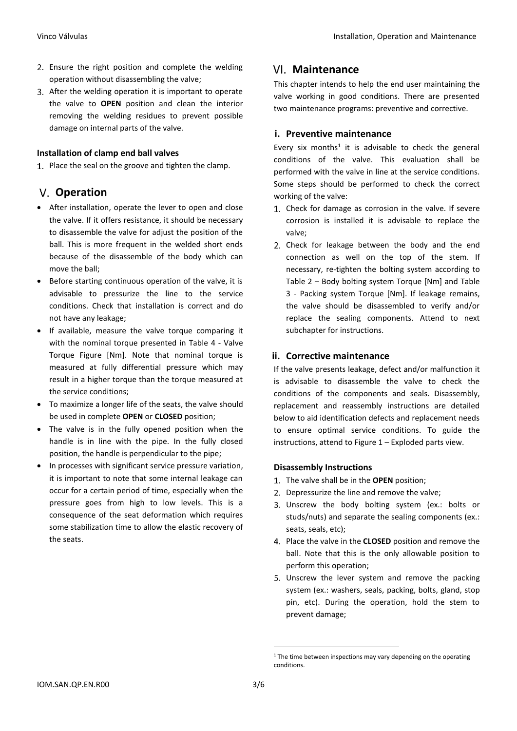- 2. Ensure the right position and complete the welding operation without disassembling the valve;
- 3. After the welding operation it is important to operate the valve to **OPEN** position and clean the interior removing the welding residues to prevent possible damage on internal parts of the valve.

### <span id="page-2-0"></span>**Installation of clamp end ball valves**

1. Place the seal on the groove and tighten the clamp.

### <span id="page-2-1"></span>**Operation**

- After installation, operate the lever to open and close the valve. If it offers resistance, it should be necessary to disassemble the valve for adjust the position of the ball. This is more frequent in the welded short ends because of the disassemble of the body which can move the ball;
- Before starting continuous operation of the valve, it is advisable to pressurize the line to the service conditions. Check that installation is correct and do not have any leakage;
- If available, measure the valve torque comparing it with the nominal torque presented in [Table 4](#page-3-2) - Valve [Torque Figure \[Nm\].](#page-3-2) Note that nominal torque is measured at fully differential pressure which may result in a higher torque than the torque measured at the service conditions;
- To maximize a longer life of the seats, the valve should be used in complete **OPEN** or **CLOSED** position;
- The valve is in the fully opened position when the handle is in line with the pipe. In the fully closed position, the handle is perpendicular to the pipe;
- In processes with significant service pressure variation, it is important to note that some internal leakage can occur for a certain period of time, especially when the pressure goes from high to low levels. This is a consequence of the seat deformation which requires some stabilization time to allow the elastic recovery of the seats.

### <span id="page-2-2"></span>**Maintenance**

This chapter intends to help the end user maintaining the valve working in good conditions. There are presented two maintenance programs: preventive and corrective.

### <span id="page-2-3"></span>**i. Preventive maintenance**

Every six months<sup>1</sup> it is advisable to check the general conditions of the valve. This evaluation shall be performed with the valve in line at the service conditions. Some steps should be performed to check the correct working of the valve:

- 1. Check for damage as corrosion in the valve. If severe corrosion is installed it is advisable to replace the valve;
- 2. Check for leakage between the body and the end connection as well on the top of the stem. If necessary, re-tighten the bolting system according to Table 2 – Body bolting [system Torque \[Nm\]](#page-3-3) and [Table](#page-3-4)  3 - [Packing system Torque \[Nm\].](#page-3-4) If leakage remains, the valve should be disassembled to verify and/or replace the sealing components. Attend to next subchapter for instructions.

### <span id="page-2-4"></span>**ii. Corrective maintenance**

If the valve presents leakage, defect and/or malfunction it is advisable to disassemble the valve to check the conditions of the components and seals. Disassembly, replacement and reassembly instructions are detailed below to aid identification defects and replacement needs to ensure optimal service conditions. To guide the instructions, attend to Figure 1 – [Exploded parts view.](#page-4-1)

### <span id="page-2-5"></span>**Disassembly Instructions**

- The valve shall be in the **OPEN** position;
- 2. Depressurize the line and remove the valve;
- Unscrew the body bolting system (ex.: bolts or studs/nuts) and separate the sealing components (ex.: seats, seals, etc);
- Place the valve in the **CLOSED** position and remove the ball. Note that this is the only allowable position to perform this operation;
- Unscrew the lever system and remove the packing system (ex.: washers, seals, packing, bolts, gland, stop pin, etc). During the operation, hold the stem to prevent damage;

<sup>&</sup>lt;sup>1</sup> The time between inspections may vary depending on the operating conditions.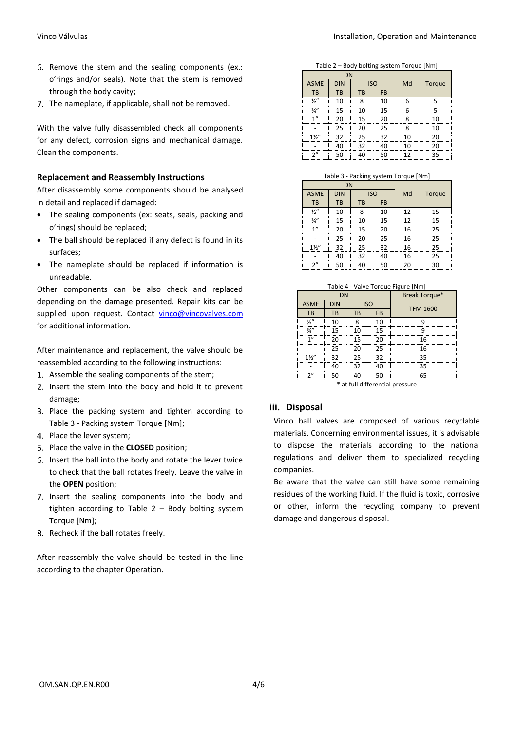- 6. Remove the stem and the sealing components (ex.: o'rings and/or seals). Note that the stem is removed through the body cavity;
- 7. The nameplate, if applicable, shall not be removed.

With the valve fully disassembled check all components for any defect, corrosion signs and mechanical damage. Clean the components.

#### <span id="page-3-0"></span>**Replacement and Reassembly Instructions**

After disassembly some components should be analysed in detail and replaced if damaged:

- The sealing components (ex: seats, seals, packing and o'rings) should be replaced;
- The ball should be replaced if any defect is found in its surfaces;
- The nameplate should be replaced if information is unreadable.

Other components can be also check and replaced depending on the damage presented. Repair kits can be supplied upon request. Contact [vinco@vincovalves.com](mailto:vinco@vincovalves.com) for additional information.

After maintenance and replacement, the valve should be reassembled according to the following instructions:

- 1. Assemble the sealing components of the stem;
- 2. Insert the stem into the body and hold it to prevent damage;
- 3. Place the packing system and tighten according to Table 3 - [Packing system Torque \[Nm\];](#page-3-4)
- 4. Place the lever system;
- Place the valve in the **CLOSED** position;
- 6. Insert the ball into the body and rotate the lever twice to check that the ball rotates freely. Leave the valve in the **OPEN** position;
- 7. Insert the sealing components into the body and tighten according to Table 2 – [Body bolting](#page-3-3) system [Torque \[Nm\];](#page-3-3)
- 8. Recheck if the ball rotates freely.

After reassembly the valve should be tested in the line according to the chapter [Operation.](#page-2-1)

Table 2 – Body bolting system Torque [Nm]

<span id="page-3-3"></span>

|                 | <b>DN</b>  |            |           |    |        |
|-----------------|------------|------------|-----------|----|--------|
| <b>ASME</b>     | <b>DIN</b> | <b>ISO</b> |           | Md | Torque |
| TB              | <b>TB</b>  | <b>TB</b>  | <b>FB</b> |    |        |
| $\frac{1}{2}$   | 10         | 8          | 10        | 6  | ς      |
| $\frac{3}{4}$ " | 15         | 10         | 15        | 6  | ς      |
| 1"              | 20         | 15         | 20        | 8  | 10     |
|                 | 25         | 20         | 25        | 8  | 10     |
| $1\frac{1}{2}$  | 32         | 25         | 32        | 10 | 20     |
|                 | 40         | 32         | 40        | 10 | 20     |
| 2"              | 50         | 40         | 50        | 12 | 35     |

| Table 3 - Packing system Torque [Nm] |  |
|--------------------------------------|--|
|--------------------------------------|--|

<span id="page-3-4"></span>

| <b>DN</b>       |            |            |           |    |        |
|-----------------|------------|------------|-----------|----|--------|
| <b>ASME</b>     | <b>DIN</b> | <b>ISO</b> |           | Md | Torque |
| TB              | <b>TB</b>  | <b>TB</b>  | <b>FB</b> |    |        |
| $\frac{1}{2}$   | 10         | ጸ          | 10        | 12 | 15     |
| $\frac{3}{4}$ " | 15         | 10         | 15        | 12 | 15     |
| 1"              | 20         | 15         | 20        | 16 | 25     |
|                 | 25         | 20         | 25        | 16 | 25     |
| $1\frac{1}{2}$  | 32         | 25         | 32        | 16 | 25     |
|                 | 40         | 32         | 40        | 16 | 25     |
| 2"              | 50         | 40         | 50        | 20 | 30     |

| Table 4 - Valve Torque Figure [Nm] |  |  |
|------------------------------------|--|--|
|                                    |  |  |

<span id="page-3-2"></span>

| .<br>valve Torque History |            |    |            |                 |  |  |
|---------------------------|------------|----|------------|-----------------|--|--|
| <b>DN</b>                 |            |    |            | Break Torque*   |  |  |
| <b>ASME</b>               | <b>DIN</b> |    | <b>ISO</b> | <b>TFM 1600</b> |  |  |
| TB                        | TB         | TB | <b>FB</b>  |                 |  |  |
| ⅓"                        | 10         | 8  | 10         | q               |  |  |
| $\frac{3}{4}$             | 15         | 10 | 15         | q               |  |  |
| 1"                        | 20         | 15 | 20         | 16              |  |  |
|                           | 25         | 20 | 25         | 16              |  |  |
| $1\frac{1}{2}$            | 32         | 25 | 32         | 35              |  |  |
|                           | 40         | 32 | 40         | 35              |  |  |
| ን"                        | 50         | 40 | 50         | 65              |  |  |
|                           |            |    |            |                 |  |  |

\* at full differential pressure

#### <span id="page-3-1"></span>**iii. Disposal**

Vinco ball valves are composed of various recyclable materials. Concerning environmental issues, it is advisable to dispose the materials according to the national regulations and deliver them to specialized recycling companies.

Be aware that the valve can still have some remaining residues of the working fluid. If the fluid is toxic, corrosive or other, inform the recycling company to prevent damage and dangerous disposal.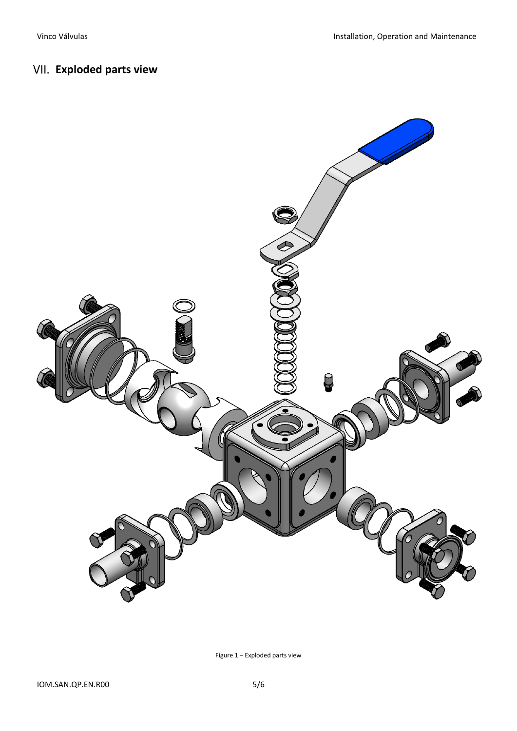## <span id="page-4-0"></span>**Exploded parts view**



<span id="page-4-1"></span>Figure 1 – Exploded parts view